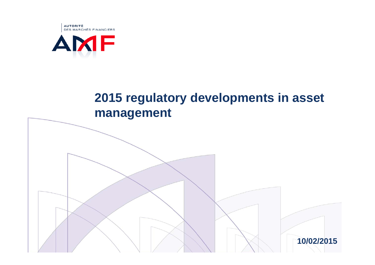**AUTORITÉ DES MARCHÉS FINANCIERS** 



# **2015 regulatory developments in asset management**

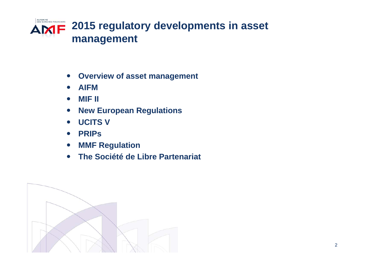

- $\bullet$ **Overview of asset management**
- $\bullet$ **AIFM**
- $\bullet$ **MIF II**
- $\bullet$ **New European Regulations**
- $\bullet$ **UCITS V**
- $\bullet$ **PRIPs**
- $\bullet$ **MMF Regulation**
- $\bullet$ **The Société de Libre Partenariat**

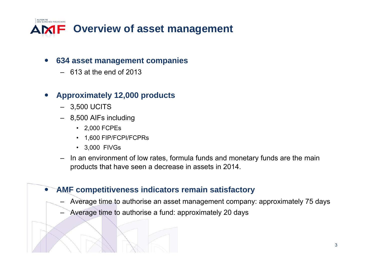

#### 0 **634 asset management companies**

– 613 at the end of 2013

#### 0 **Approximately 12,000 products**

– 3,500 UCITS

O

- 8,500 AIFs including
	- 2,000 FCPEs
	- 1,600 FIP/FCPI/FCPRs
	- 3,000 FIVGs
- – In an environment of low rates, formula funds and monetary funds are the main products that have seen a decrease in assets in 2014.

### **AMF competitiveness indicators remain satisfactory**

- Average time to authorise an asset management company: approximately 75 days
- Average time to authorise a fund: approximately 20 days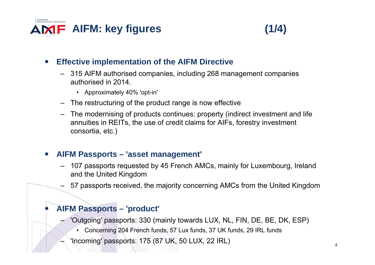



#### 0 **Effective implementation of the AIFM Directive**

- 315 AIFM authorised companies, including 268 management companies authorised in 2014.
	- Approximately 40% 'opt-in'
- The restructuring of the product range is now effective
- The modernising of products continues: property (indirect investment and life annuities in REITs, the use of credit claims for AIFs, forestry investment consortia, etc.)

#### O **AIFM Passports – 'asset management'**

- 107 passports requested by 45 French AMCs, mainly for Luxembourg, Ireland and the United Kingdom
- 57 passports received, the majority concerning AMCs from the United Kingdom

### **AIFM Passports – 'product'**

Ò

- 'Outgoing' passports: 330 (mainly towards LUX, NL, FIN, DE, BE, DK, ESP)
	- •Concerning 204 French funds, 57 Lux funds, 37 UK funds, 29 IRL funds
- 'Incoming' passports: 175 (87 UK, 50 LUX, 22 IRL)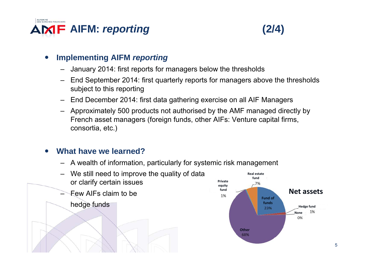



#### 0 **Implementing AIFM** *reporting*

- January 2014: first reports for managers below the thresholds
- End September 2014: first quarterly reports for managers above the thresholds subject to this reporting
- End December 2014: first data gathering exercise on all AIF Managers
- Approximately 500 products not authorised by the AMF managed directly by French asset managers (foreign funds, other AIFs: Venture capital firms, consortia, etc.)

#### $\bullet$ **What have we learned?**

- A wealth of information, particularly for systemic risk management
- We still need to improve the quality of data or clarify certain issues
- Few AIFs claim to be
	- hedge funds

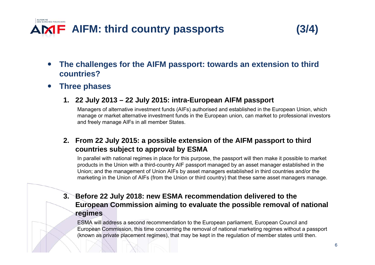

- $\bullet$  **The challenges for the AIFM passport: towards an extension to third countries?**
- $\bullet$  **Three phases**
	- **1. 22 July 2013 – 22 July 2015: intra-European AIFM passport**

Managers of alternative investment funds (AIFs) authorised and established in the European Union, which manage or market alternative investment funds in the European union, can market to professional investors and freely manage AIFs in all member States.

### **2. From 22 July 2015: a possible extension of the AIFM passport to third countries subject to approval by ESMA**

In parallel with national regimes in place for this purpose, the passport will then make it possible to market products in the Union with a third-country AIF passport managed by an asset manager established in the Union; and the management of Union AIFs by asset managers established in third countries and/or the marketing in the Union of AIFs (from the Union or third country) that these same asset managers manage.

### **3. Before 22 July 2018: new ESMA recommendation delivered to the European Commission aiming to evaluate the possible removal of national regimes**

ESMA will address a second recommendation to the European parliament, European Council and European Commission, this time concerning the removal of national marketing regimes without a passport (known as private placement regimes), that may be kept in the regulation of member states until then.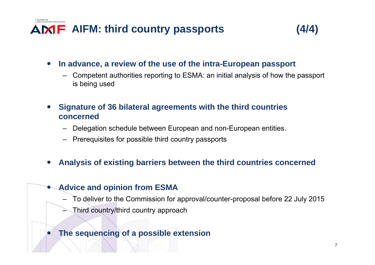

 $\bullet$ **In advance, a review of the use of the intra-European passport**

- – Competent authorities reporting to ESMA: an initial analysis of how the passport is being used
- 0 **Signature of 36 bilateral agreements with the third countries concerned**
	- –Delegation schedule between European and non-European entities.
	- Prerequisites for possible third country passports
- 0 **Analysis of existing barriers between the third countries concerned**

### **Advice and opinion from ESMA**

O

 $\bullet$ 

- To deliver to the Commission for approval/counter-proposal before 22 July 2015
- Third country/third country approach
- **The sequencing of a possible extension**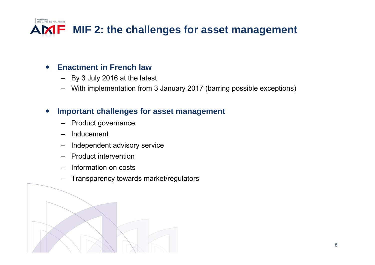

#### $\bullet$ **Enactment in French law**

- –By 3 July 2016 at the latest
- With implementation from 3 January 2017 (barring possible exceptions)

#### $\bullet$ **Important challenges for asset management**

- –Product governance
- –Inducement
- –Independent advisory service
- Product intervention
- Information on costs
- –Transparency towards market/regulators

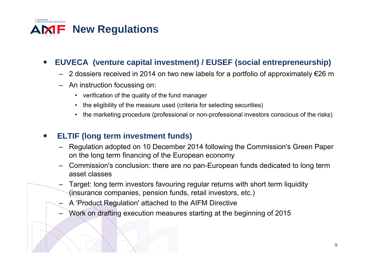

#### $\bullet$ **EUVECA (venture capital investment) / EUSEF (social entrepreneurship)**

- 2 dossiers received in 2014 on two new labels for a portfolio of approximately €26 m
- An instruction focussing on:
	- verification of the quality of the fund manager
	- •the eligibility of the measure used (criteria for selecting securities)
	- the marketing procedure (professional or non-professional investors conscious of the risks)

#### O **ELTIF (long term investment funds)**

- – Regulation adopted on 10 December 2014 following the Commission's Green Paper on the long term financing of the European economy
- – Commission's conclusion: there are no pan-European funds dedicated to long term asset classes
- Target: long term investors favouring regular returns with short term liquidity (insurance companies, pension funds, retail investors, etc.)
- –A 'Product Regulation' attached to the AIFM Directive
- Work on drafting execution measures starting at the beginning of 2015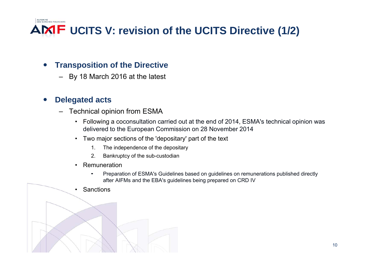

#### 0 **Transposition of the Directive**

–By 18 March 2016 at the latest

#### 0 **Delegated acts**

- Technical opinion from ESMA
	- Following a coconsultation carried out at the end of 2014, ESMA's technical opinion was delivered to the European Commission on 28 November 2014
	- • Two major sections of the 'depositary' part of the text
		- 1. The independence of the depositary
		- 2. Bankruptcy of the sub-custodian
	- Remuneration
		- $\blacksquare$  Preparation of ESMA's Guidelines based on guidelines on remunerations published directly after AIFMs and the EBA's guidelines being prepared on CRD IV
	- •**Sanctions**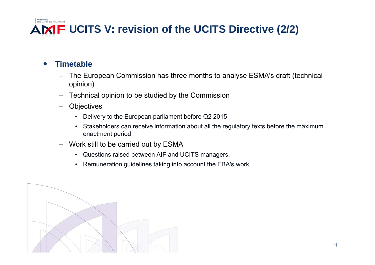## **AUTORITÉ AMF UCITS V: revision of the UCITS Directive (2/2)**

#### $\bullet$ **Timetable**

- – The European Commission has three months to analyse ESMA's draft (technical opinion)
- –Technical opinion to be studied by the Commission
- –**Objectives** 
	- Delivery to the European parliament before Q2 2015
	- $\bullet$  Stakeholders can receive information about all the regulatory texts before the maximum enactment period
- – Work still to be carried out by ESMA
	- Questions raised between AIF and UCITS managers.
	- Remuneration guidelines taking into account the EBA's work

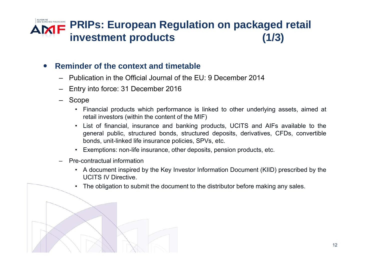# **PRIPs: European Regulation on packaged retail investment products (1/3)**

#### 0 **Reminder of the context and timetable**

- Publication in the Official Journal of the EU: 9 December 2014
- –Entry into force: 31 December 2016
- – Scope
	- Financial products which performance is linked to other underlying assets, aimed at retail investors (within the content of the MIF)
	- List of financial, insurance and banking products, UCITS and AIFs available to the general public, structured bonds, structured deposits, derivatives, CFDs, convertible bonds, unit-linked life insurance policies, SPVs, etc.
	- Exemptions: non-life insurance, other deposits, pension products, etc.
- Pre-contractual information
	- A document inspired by the Key Investor Information Document (KIID) prescribed by the UCITS IV Directive.
	- •The obligation to submit the document to the distributor before making any sales.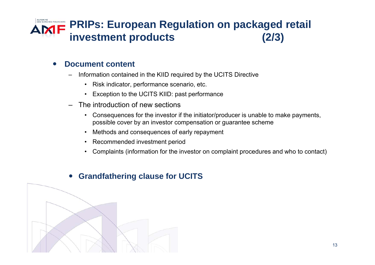# **PRIPs: European Regulation on packaged retail investment products (2/3)**

#### $\bullet$ **Document content**

- Information contained in the KIID required by the UCITS Directive
	- Risk indicator, performance scenario, etc.
	- Exception to the UCITS KIID: past performance
- The introduction of new sections
	- Consequences for the investor if the initiator/producer is unable to make payments, possible cover by an investor compensation or guarantee scheme
	- •Methods and consequences of early repayment
	- Recommended investment period
	- Complaints (information for the investor on complaint procedures and who to contact)



#### $\bullet$ **Grandfathering clause for UCITS**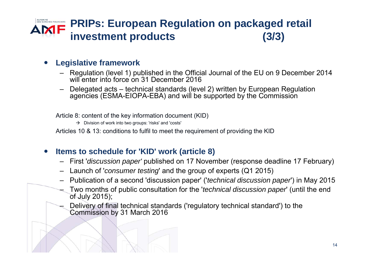## **PRIPs: European Regulation on packaged retail investment products (3/3)**

#### 0 **Legislative framework**

- Regulation (level 1) published in the Official Journal of the EU on 9 December 2014 will enter into force on 31 December 2016
- Delegated acts technical standards (level 2) written by European Regulation agencies (ESMA-EIOPA-EBA) and will be supported by the Commission

Article 8: content of the key information document (KID)

 $\rightarrow$  Division of work into two groups: 'risks' and 'costs'

Articles 10 & 13: conditions to fulfil to meet the requirement of providing the KID

#### $\bullet$ **Items to schedule for 'KID' work (article 8)**

- First '*discussion paper'* published on 17 November (response deadline 17 February)
- Launch of '*consumer testing*' and the group of experts (Q1 2015)
- Publication of a second 'discussion paper' ('*technical discussion paper*') in May 2015
- Two months of public consultation for the '*technical discussion paper*' (until the end of July 2015);
- Delivery of final technical standards ('regulatory technical standard') to the Commission by 31 March 2016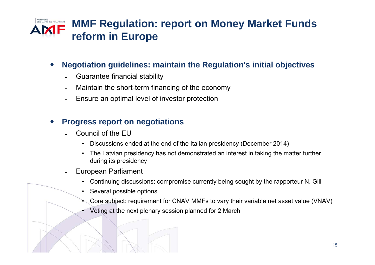## **MMF Regulation: report on Money Market Funds reform in Europe**

#### $\bullet$ **Negotiation guidelines: maintain the Regulation's initial objectives**

- $\overline{\phantom{a}}$ Guarantee financial stability
- Maintain the short-term financing of the economy
- $\overline{\phantom{a}}$ Ensure an optimal level of investor protection

#### $\bullet$ **Progress report on negotiations**

- Council of the EU
	- $\bullet$ Discussions ended at the end of the Italian presidency (December 2014)
	- $\bullet$  The Latvian presidency has not demonstrated an interest in taking the matter further during its presidency
- European Parliament
	- •Continuing discussions: compromise currently being sought by the rapporteur N. Gill
	- $\bullet$ Several possible options
	- •Core subject: requirement for CNAV MMFs to vary their variable net asset value (VNAV)
	- •Voting at the next plenary session planned for 2 March